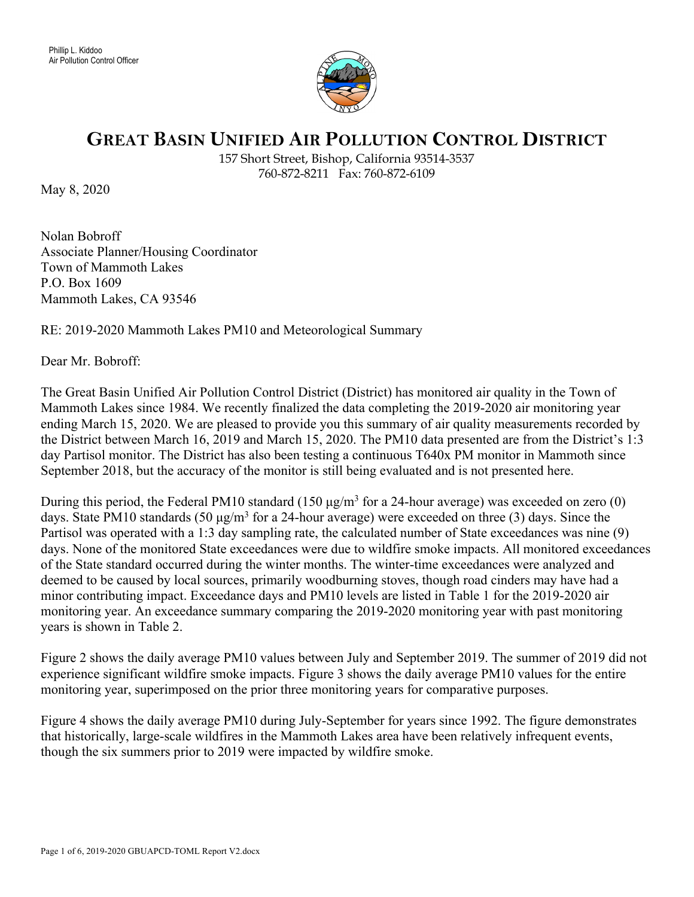

## **GREAT BASIN UNIFIED AIR POLLUTION CONTROL DISTRICT**

157 Short Street, Bishop, California 93514-3537 760-872-8211 Fax: 760-872-6109

May 8, 2020

Nolan Bobroff Associate Planner/Housing Coordinator Town of Mammoth Lakes P.O. Box 1609 Mammoth Lakes, CA 93546

## RE: 2019-2020 Mammoth Lakes PM10 and Meteorological Summary

Dear Mr. Bobroff:

The Great Basin Unified Air Pollution Control District (District) has monitored air quality in the Town of Mammoth Lakes since 1984. We recently finalized the data completing the 2019-2020 air monitoring year ending March 15, 2020. We are pleased to provide you this summary of air quality measurements recorded by the District between March 16, 2019 and March 15, 2020. The PM10 data presented are from the District's 1:3 day Partisol monitor. The District has also been testing a continuous T640x PM monitor in Mammoth since September 2018, but the accuracy of the monitor is still being evaluated and is not presented here.

During this period, the Federal PM10 standard (150  $\mu$ g/m<sup>3</sup> for a 24-hour average) was exceeded on zero (0) days. State PM10 standards  $(50 \mu g/m^3$  for a 24-hour average) were exceeded on three (3) days. Since the Partisol was operated with a 1:3 day sampling rate, the calculated number of State exceedances was nine (9) days. None of the monitored State exceedances were due to wildfire smoke impacts. All monitored exceedances of the State standard occurred during the winter months. The winter-time exceedances were analyzed and deemed to be caused by local sources, primarily woodburning stoves, though road cinders may have had a minor contributing impact. Exceedance days and PM10 levels are listed in Table 1 for the 2019-2020 air monitoring year. An exceedance summary comparing the 2019-2020 monitoring year with past monitoring years is shown in Table 2.

Figure 2 shows the daily average PM10 values between July and September 2019. The summer of 2019 did not experience significant wildfire smoke impacts. Figure 3 shows the daily average PM10 values for the entire monitoring year, superimposed on the prior three monitoring years for comparative purposes.

Figure 4 shows the daily average PM10 during July-September for years since 1992. The figure demonstrates that historically, large-scale wildfires in the Mammoth Lakes area have been relatively infrequent events, though the six summers prior to 2019 were impacted by wildfire smoke.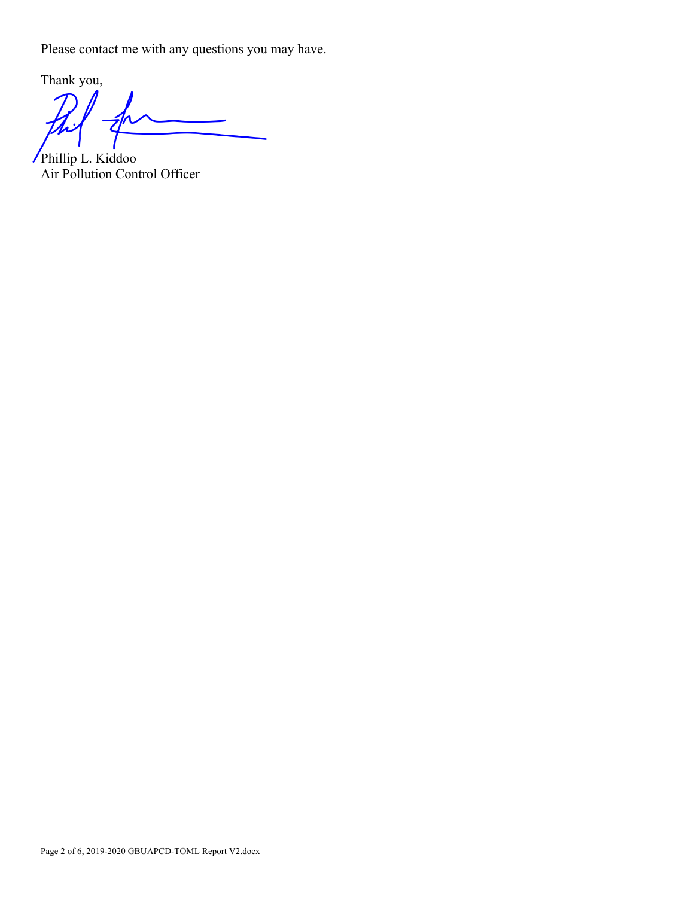Please contact me with any questions you may have.

Thank you, Z

Phillip L. Kiddoo Air Pollution Control Officer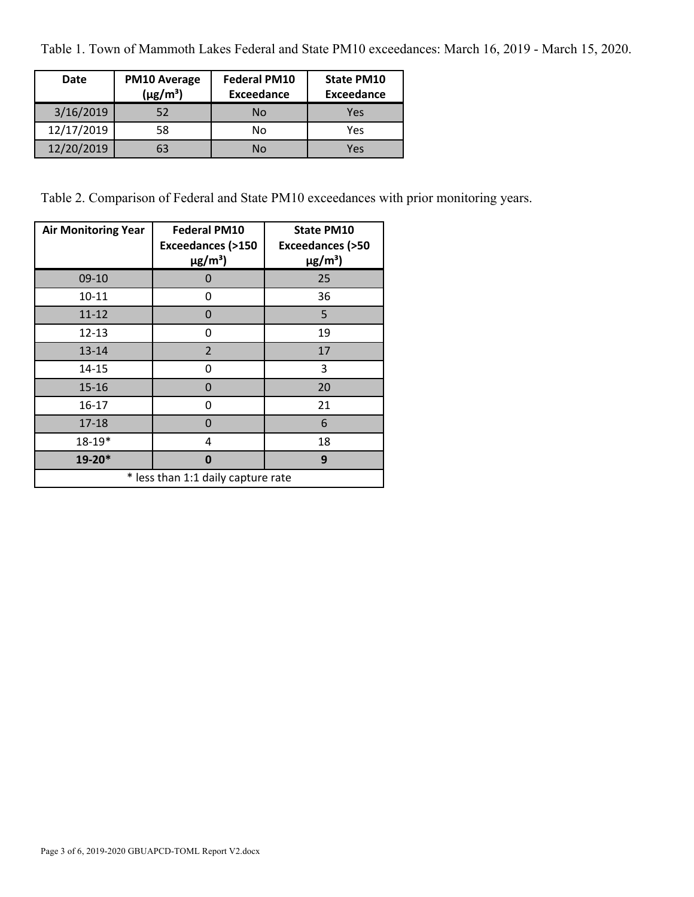Table 1. Town of Mammoth Lakes Federal and State PM10 exceedances: March 16, 2019 - March 15, 2020.

| Date       | <b>PM10 Average</b><br>$(\mu g/m^3)$ | <b>Federal PM10</b><br><b>Exceedance</b> | <b>State PM10</b><br><b>Exceedance</b> |
|------------|--------------------------------------|------------------------------------------|----------------------------------------|
| 3/16/2019  | 52                                   | No                                       | Yes                                    |
| 12/17/2019 | 58                                   | No                                       | Yes                                    |
| 12/20/2019 | 63                                   | No                                       | Yes                                    |

Table 2. Comparison of Federal and State PM10 exceedances with prior monitoring years.

| <b>Air Monitoring Year</b>         | <b>Federal PM10</b><br><b>Exceedances (&gt;150</b><br>$\mu$ g/m <sup>3</sup> ) | <b>State PM10</b><br><b>Exceedances (&gt;50</b><br>$\mu$ g/m <sup>3</sup> ) |  |  |
|------------------------------------|--------------------------------------------------------------------------------|-----------------------------------------------------------------------------|--|--|
| 09-10                              | $\mathbf{\Omega}$                                                              | 25                                                                          |  |  |
| $10 - 11$                          | 0                                                                              | 36                                                                          |  |  |
| $11 - 12$                          | 0                                                                              | 5                                                                           |  |  |
| $12 - 13$                          | 0                                                                              | 19                                                                          |  |  |
| $13 - 14$                          | $\overline{2}$                                                                 | 17                                                                          |  |  |
| $14 - 15$                          | 0                                                                              | 3                                                                           |  |  |
| $15 - 16$                          | 0                                                                              | 20                                                                          |  |  |
| $16 - 17$                          | ი                                                                              | 21                                                                          |  |  |
| $17 - 18$                          | 0                                                                              | 6                                                                           |  |  |
| $18 - 19*$                         | 4                                                                              | 18                                                                          |  |  |
| 19-20*                             | Ω                                                                              | 9                                                                           |  |  |
| * less than 1:1 daily capture rate |                                                                                |                                                                             |  |  |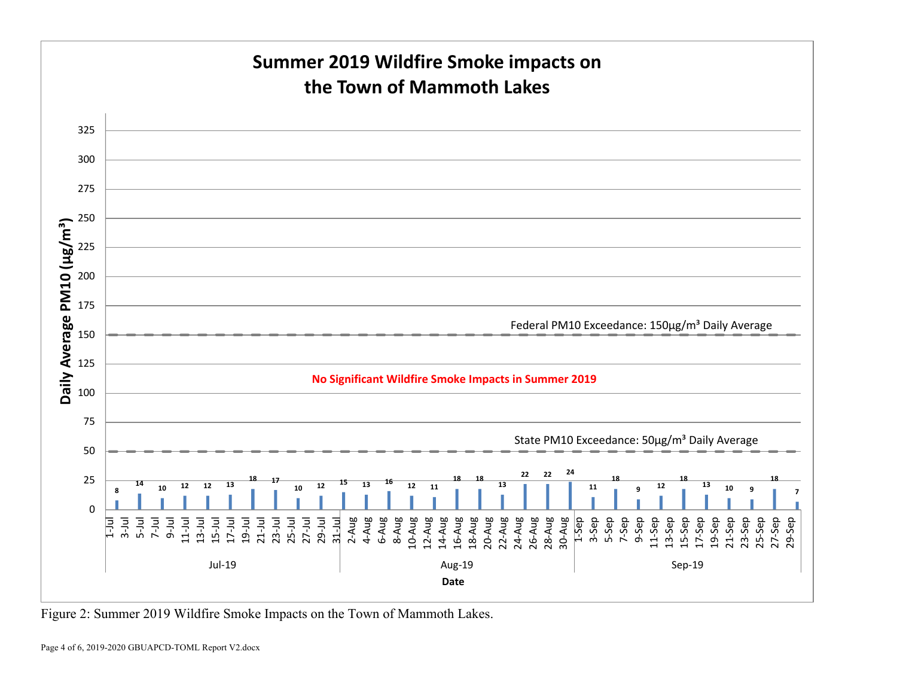

Figure 2: Summer 2019 Wildfire Smoke Impacts on the Town of Mammoth Lakes.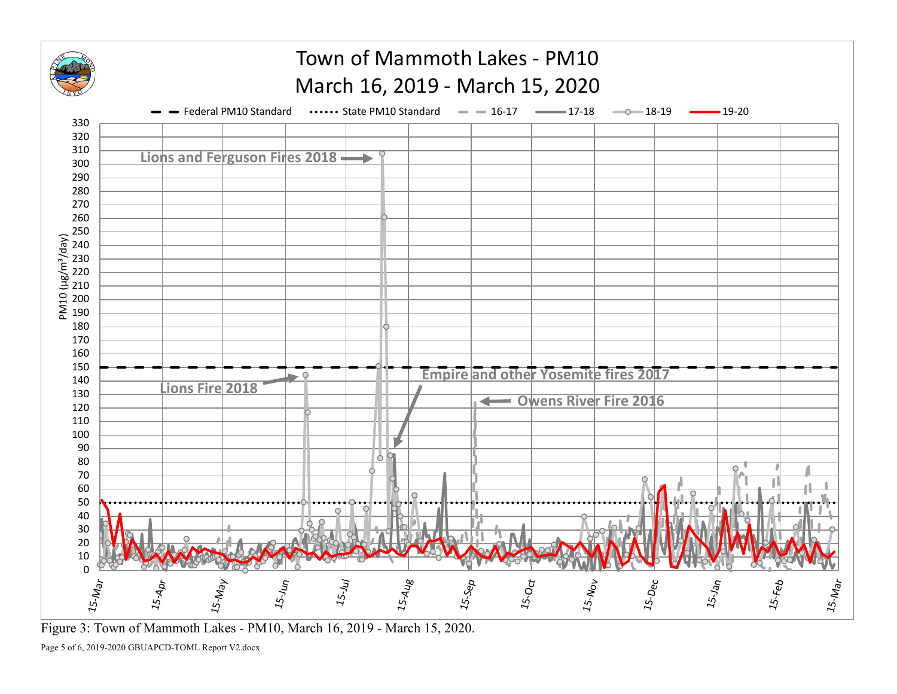

Figure 3: Town of Mammoth Lakes - PM10, March 16, 2019 - March 15, 2020.

Page 5 of 6, 2019-2020 GBUAPCD-TOML Report V2.docx